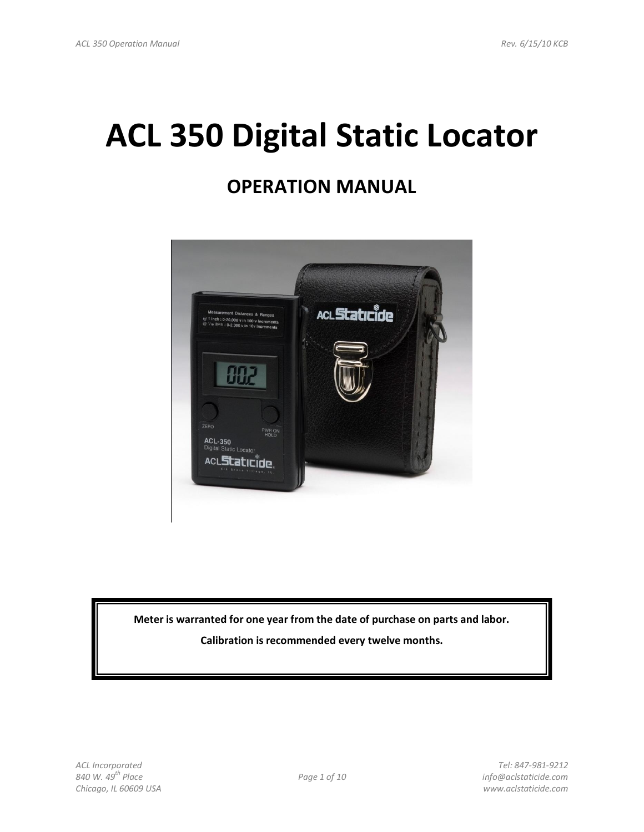# **ACL 350 Digital Static Locator**

# **OPERATION MANUAL**



**Meter is warranted for one year from the date of purchase on parts and labor.** 

**Calibration is recommended every twelve months.**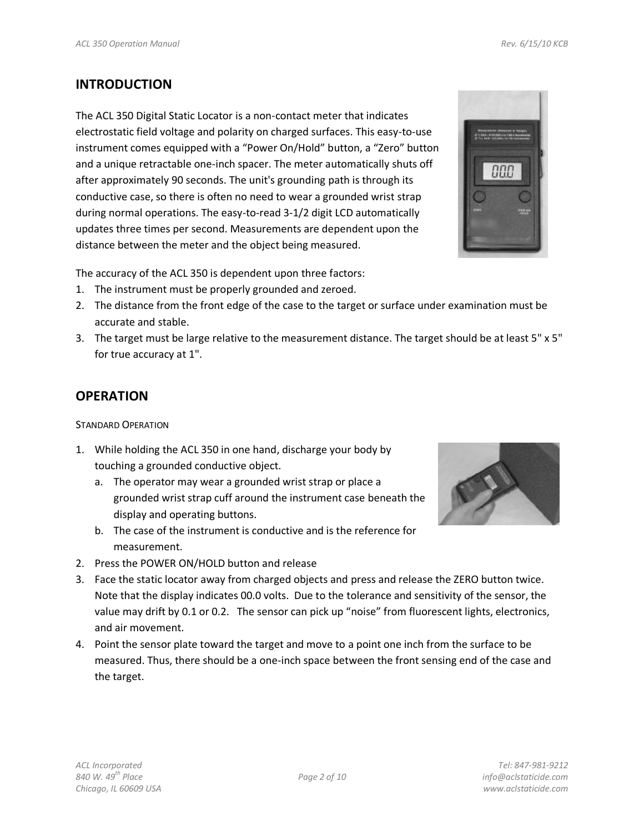#### **INTRODUCTION**

The ACL 350 Digital Static Locator is a non-contact meter that indicates electrostatic field voltage and polarity on charged surfaces. This easy-to-use instrument comes equipped with a "Power On/Hold" button, a "Zero" button and a unique retractable one-inch spacer. The meter automatically shuts off after approximately 90 seconds. The unit's grounding path is through its conductive case, so there is often no need to wear a grounded wrist strap during normal operations. The easy-to-read 3-1/2 digit LCD automatically updates three times per second. Measurements are dependent upon the distance between the meter and the object being measured.



The accuracy of the ACL 350 is dependent upon three factors:

- 1. The instrument must be properly grounded and zeroed.
- 2. The distance from the front edge of the case to the target or surface under examination must be accurate and stable.
- 3. The target must be large relative to the measurement distance. The target should be at least 5" x 5" for true accuracy at 1".

#### **OPERATION**

#### STANDARD OPERATION

- 1. While holding the ACL 350 in one hand, discharge your body by touching a grounded conductive object.
	- a. The operator may wear a grounded wrist strap or place a grounded wrist strap cuff around the instrument case beneath the display and operating buttons.
	- b. The case of the instrument is conductive and is the reference for measurement.
- 

- 2. Press the POWER ON/HOLD button and release
- 3. Face the static locator away from charged objects and press and release the ZERO button twice. Note that the display indicates 00.0 volts. Due to the tolerance and sensitivity of the sensor, the value may drift by 0.1 or 0.2. The sensor can pick up "noise" from fluorescent lights, electronics, and air movement.
- 4. Point the sensor plate toward the target and move to a point one inch from the surface to be measured. Thus, there should be a one-inch space between the front sensing end of the case and the target.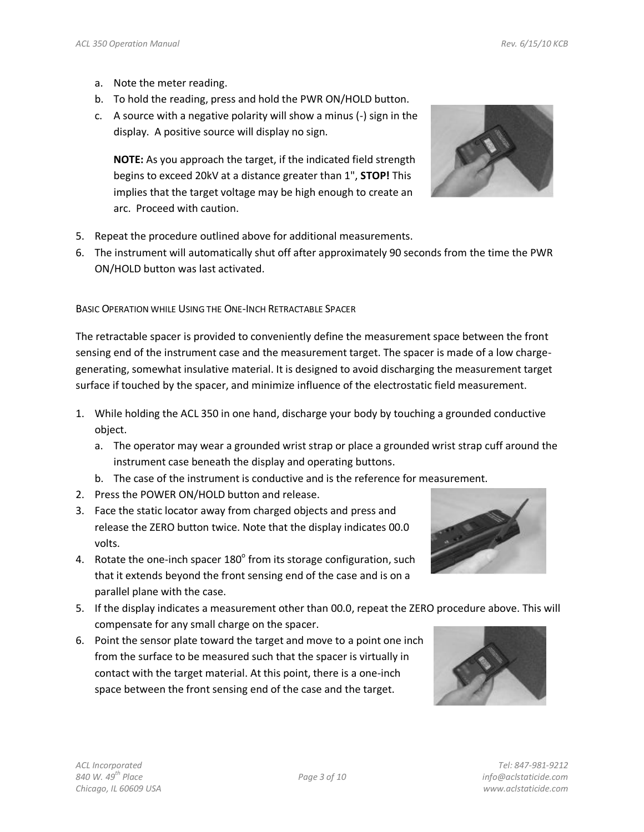- a. Note the meter reading.
- b. To hold the reading, press and hold the PWR ON/HOLD button.
- c. A source with a negative polarity will show a minus (-) sign in the display. A positive source will display no sign.

**NOTE:** As you approach the target, if the indicated field strength begins to exceed 20kV at a distance greater than 1", **STOP!** This implies that the target voltage may be high enough to create an arc. Proceed with caution.



- 5. Repeat the procedure outlined above for additional measurements.
- 6. The instrument will automatically shut off after approximately 90 seconds from the time the PWR ON/HOLD button was last activated.

BASIC OPERATION WHILE USING THE ONE-INCH RETRACTABLE SPACER

The retractable spacer is provided to conveniently define the measurement space between the front sensing end of the instrument case and the measurement target. The spacer is made of a low chargegenerating, somewhat insulative material. It is designed to avoid discharging the measurement target surface if touched by the spacer, and minimize influence of the electrostatic field measurement.

- 1. While holding the ACL 350 in one hand, discharge your body by touching a grounded conductive object.
	- a. The operator may wear a grounded wrist strap or place a grounded wrist strap cuff around the instrument case beneath the display and operating buttons.
	- b. The case of the instrument is conductive and is the reference for measurement.
- 2. Press the POWER ON/HOLD button and release.
- 3. Face the static locator away from charged objects and press and release the ZERO button twice. Note that the display indicates 00.0 volts.
- 4. Rotate the one-inch spacer  $180^\circ$  from its storage configuration, such that it extends beyond the front sensing end of the case and is on a parallel plane with the case.
- 5. If the display indicates a measurement other than 00.0, repeat the ZERO procedure above. This will compensate for any small charge on the spacer.
- 6. Point the sensor plate toward the target and move to a point one inch from the surface to be measured such that the spacer is virtually in contact with the target material. At this point, there is a one-inch space between the front sensing end of the case and the target.



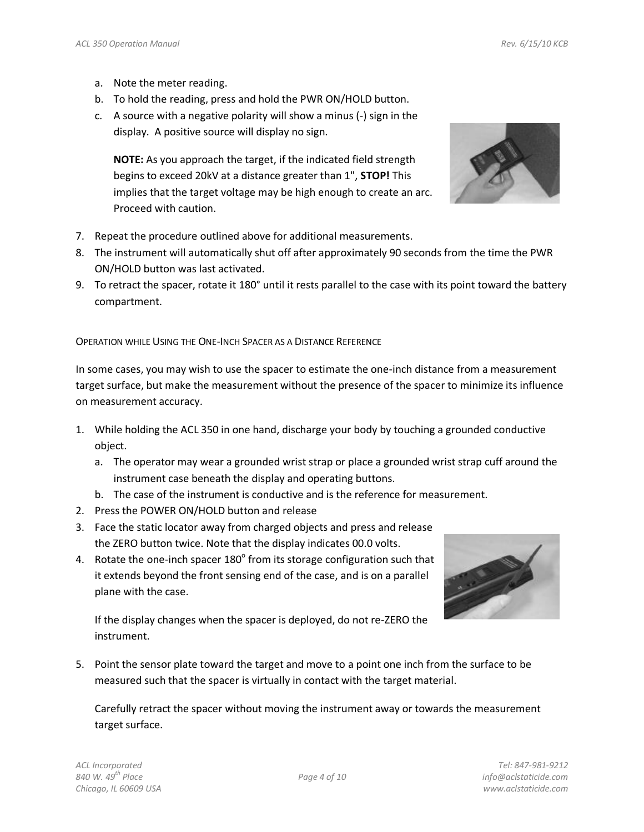- a. Note the meter reading.
- b. To hold the reading, press and hold the PWR ON/HOLD button.
- c. A source with a negative polarity will show a minus (-) sign in the display. A positive source will display no sign.

**NOTE:** As you approach the target, if the indicated field strength begins to exceed 20kV at a distance greater than 1", **STOP!** This implies that the target voltage may be high enough to create an arc. Proceed with caution.



- 7. Repeat the procedure outlined above for additional measurements.
- 8. The instrument will automatically shut off after approximately 90 seconds from the time the PWR ON/HOLD button was last activated.
- 9. To retract the spacer, rotate it 180° until it rests parallel to the case with its point toward the battery compartment.

OPERATION WHILE USING THE ONE-INCH SPACER AS A DISTANCE REFERENCE

In some cases, you may wish to use the spacer to estimate the one-inch distance from a measurement target surface, but make the measurement without the presence of the spacer to minimize its influence on measurement accuracy.

- 1. While holding the ACL 350 in one hand, discharge your body by touching a grounded conductive object.
	- a. The operator may wear a grounded wrist strap or place a grounded wrist strap cuff around the instrument case beneath the display and operating buttons.
	- b. The case of the instrument is conductive and is the reference for measurement.
- 2. Press the POWER ON/HOLD button and release
- 3. Face the static locator away from charged objects and press and release the ZERO button twice. Note that the display indicates 00.0 volts.
- 4. Rotate the one-inch spacer  $180^{\circ}$  from its storage configuration such that it extends beyond the front sensing end of the case, and is on a parallel plane with the case.

If the display changes when the spacer is deployed, do not re-ZERO the instrument.

5. Point the sensor plate toward the target and move to a point one inch from the surface to be measured such that the spacer is virtually in contact with the target material.

Carefully retract the spacer without moving the instrument away or towards the measurement target surface.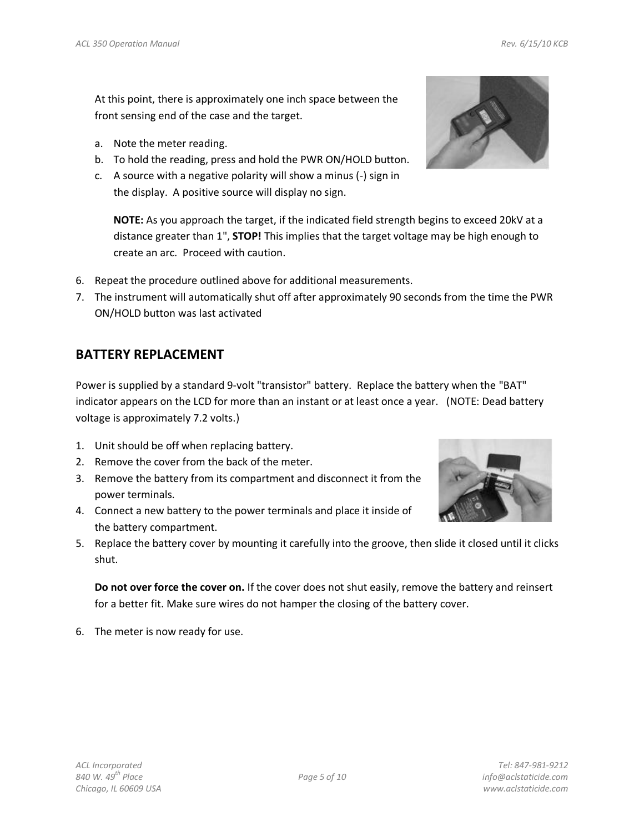At this point, there is approximately one inch space between the front sensing end of the case and the target.

- a. Note the meter reading.
- b. To hold the reading, press and hold the PWR ON/HOLD button.
- c. A source with a negative polarity will show a minus (-) sign in the display. A positive source will display no sign.

**NOTE:** As you approach the target, if the indicated field strength begins to exceed 20kV at a distance greater than 1", **STOP!** This implies that the target voltage may be high enough to create an arc. Proceed with caution.

- 6. Repeat the procedure outlined above for additional measurements.
- 7. The instrument will automatically shut off after approximately 90 seconds from the time the PWR ON/HOLD button was last activated

### **BATTERY REPLACEMENT**

Power is supplied by a standard 9-volt "transistor" battery. Replace the battery when the "BAT" indicator appears on the LCD for more than an instant or at least once a year. (NOTE: Dead battery voltage is approximately 7.2 volts.)

- 1. Unit should be off when replacing battery.
- 2. Remove the cover from the back of the meter.
- 3. Remove the battery from its compartment and disconnect it from the power terminals.
- 4. Connect a new battery to the power terminals and place it inside of the battery compartment.



**Do not over force the cover on.** If the cover does not shut easily, remove the battery and reinsert for a better fit. Make sure wires do not hamper the closing of the battery cover.

6. The meter is now ready for use.

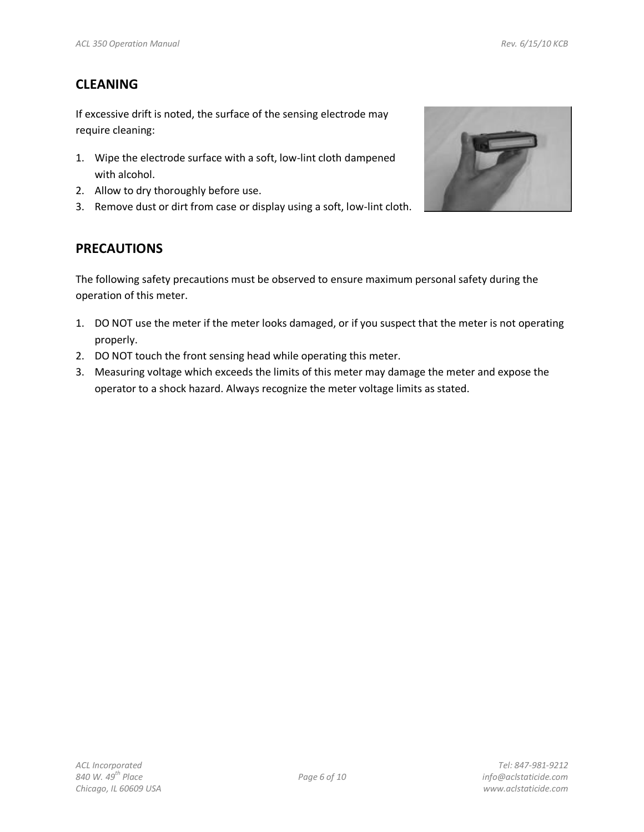### **CLEANING**

If excessive drift is noted, the surface of the sensing electrode may require cleaning:

- 1. Wipe the electrode surface with a soft, low-lint cloth dampened with alcohol.
- 2. Allow to dry thoroughly before use.
- 3. Remove dust or dirt from case or display using a soft, low-lint cloth.



### **PRECAUTIONS**

The following safety precautions must be observed to ensure maximum personal safety during the operation of this meter.

- 1. DO NOT use the meter if the meter looks damaged, or if you suspect that the meter is not operating properly.
- 2. DO NOT touch the front sensing head while operating this meter.
- 3. Measuring voltage which exceeds the limits of this meter may damage the meter and expose the operator to a shock hazard. Always recognize the meter voltage limits as stated.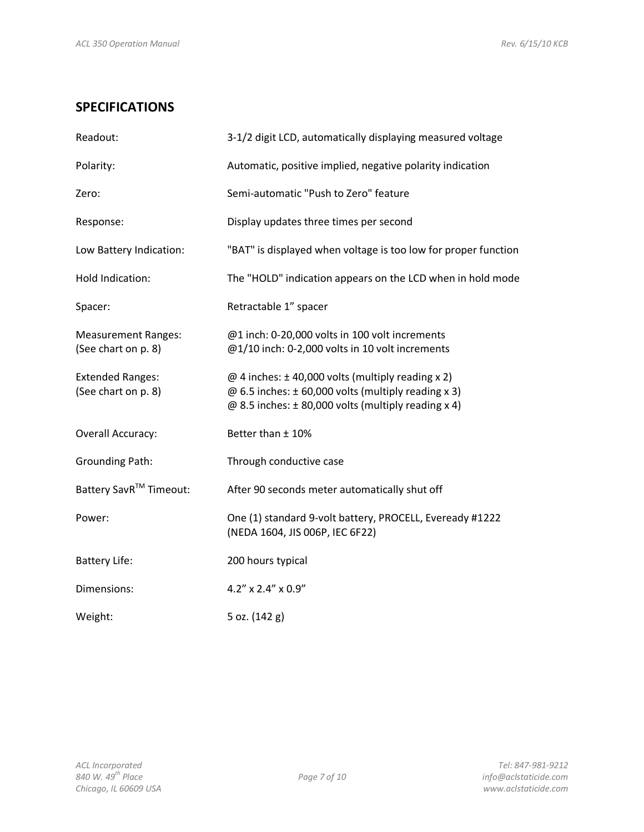## **SPECIFICATIONS**

| Readout:                                          | 3-1/2 digit LCD, automatically displaying measured voltage                                                                                                                  |  |  |
|---------------------------------------------------|-----------------------------------------------------------------------------------------------------------------------------------------------------------------------------|--|--|
| Polarity:                                         | Automatic, positive implied, negative polarity indication                                                                                                                   |  |  |
| Zero:                                             | Semi-automatic "Push to Zero" feature                                                                                                                                       |  |  |
| Response:                                         | Display updates three times per second                                                                                                                                      |  |  |
| Low Battery Indication:                           | "BAT" is displayed when voltage is too low for proper function                                                                                                              |  |  |
| Hold Indication:                                  | The "HOLD" indication appears on the LCD when in hold mode                                                                                                                  |  |  |
| Spacer:                                           | Retractable 1" spacer                                                                                                                                                       |  |  |
| <b>Measurement Ranges:</b><br>(See chart on p. 8) | @1 inch: 0-20,000 volts in 100 volt increments<br>@1/10 inch: 0-2,000 volts in 10 volt increments                                                                           |  |  |
| <b>Extended Ranges:</b><br>(See chart on p. 8)    | @ 4 inches: $\pm$ 40,000 volts (multiply reading x 2)<br>@ 6.5 inches: $\pm$ 60,000 volts (multiply reading x 3)<br>@ 8.5 inches: $\pm$ 80,000 volts (multiply reading x 4) |  |  |
| Overall Accuracy:                                 | Better than ± 10%                                                                                                                                                           |  |  |
| <b>Grounding Path:</b>                            | Through conductive case                                                                                                                                                     |  |  |
| Battery SavR™ Timeout:                            | After 90 seconds meter automatically shut off                                                                                                                               |  |  |
| Power:                                            | One (1) standard 9-volt battery, PROCELL, Eveready #1222<br>(NEDA 1604, JIS 006P, IEC 6F22)                                                                                 |  |  |
| <b>Battery Life:</b>                              | 200 hours typical                                                                                                                                                           |  |  |
| Dimensions:                                       | 4.2" x 2.4" x 0.9"                                                                                                                                                          |  |  |
| Weight:                                           | 5 oz. (142 g)                                                                                                                                                               |  |  |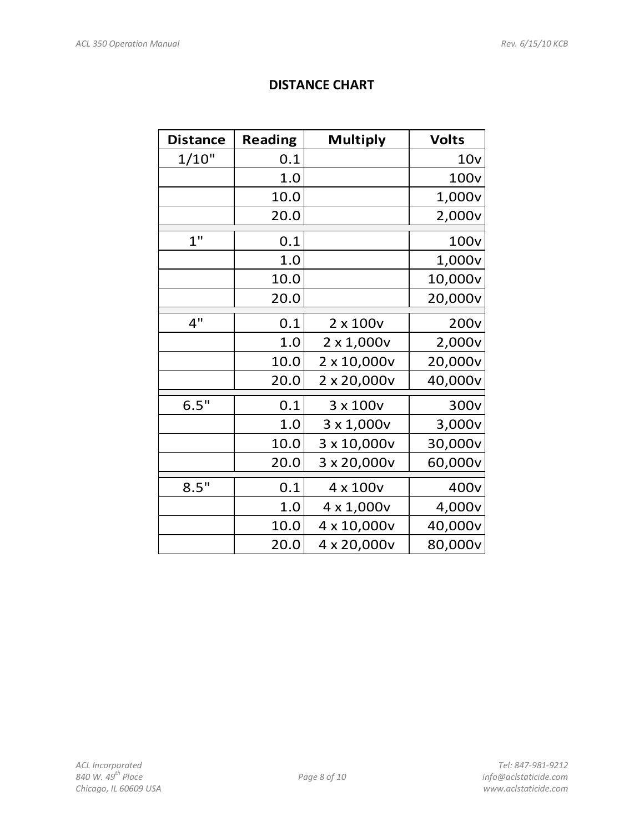## **DISTANCE CHART**

| <b>Distance</b> | <b>Reading</b> | <b>Multiply</b>   | <b>Volts</b>     |
|-----------------|----------------|-------------------|------------------|
| 1/10"           | 0.1            |                   | 10 <sub>V</sub>  |
|                 | 1.0            |                   | 100 <sub>v</sub> |
|                 | 10.0           |                   | 1,000v           |
|                 | 20.0           |                   | 2,000v           |
| $1$ "           | 0.1            |                   | 100 <sub>v</sub> |
|                 | 1.0            |                   | 1,000v           |
|                 | 10.0           |                   | 10,000v          |
|                 | 20.0           |                   | 20,000v          |
| 4"              | 0.1            | $2 \times 100v$   | 200 <sub>v</sub> |
|                 | 1.0            | $2 \times 1,000v$ | 2,000v           |
|                 | 10.0           | 2 x 10,000v       | 20,000v          |
|                 | 20.0           | 2 x 20,000v       | 40,000v          |
| 6.5"            | 0.1            | 3 x 100v          | 300 <sub>v</sub> |
|                 | 1.0            | $3 \times 1,000v$ | 3,000v           |
|                 | 10.0           | 3 x 10,000v       | 30,000v          |
|                 | 20.0           | 3 x 20,000v       | 60,000v          |
| 8.5"            | 0.1            | 4 x 100v          | 400 <sub>v</sub> |
|                 | 1.0            | 4 x 1,000v        | 4,000v           |
|                 | 10.0           | 4 x 10,000v       | 40,000v          |
|                 | 20.0           | 4 x 20,000v       | 80,000v          |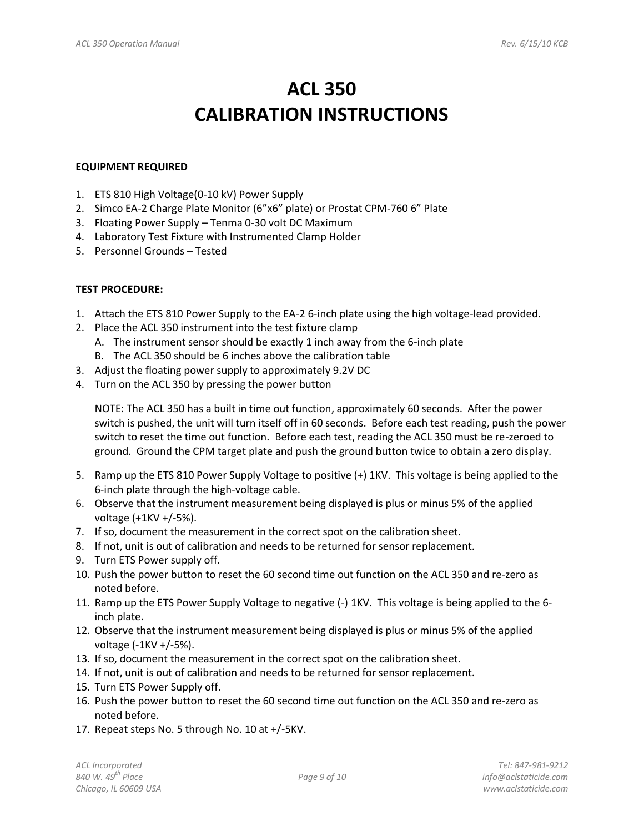# **ACL 350 CALIBRATION INSTRUCTIONS**

#### **EQUIPMENT REQUIRED**

- 1. ETS 810 High Voltage(0-10 kV) Power Supply
- 2. Simco EA-2 Charge Plate Monitor (6"x6" plate) or Prostat CPM-760 6" Plate
- 3. Floating Power Supply Tenma 0-30 volt DC Maximum
- 4. Laboratory Test Fixture with Instrumented Clamp Holder
- 5. Personnel Grounds Tested

#### **TEST PROCEDURE:**

- 1. Attach the ETS 810 Power Supply to the EA-2 6-inch plate using the high voltage-lead provided.
- 2. Place the ACL 350 instrument into the test fixture clamp
	- A. The instrument sensor should be exactly 1 inch away from the 6-inch plate
	- B. The ACL 350 should be 6 inches above the calibration table
- 3. Adjust the floating power supply to approximately 9.2V DC
- 4. Turn on the ACL 350 by pressing the power button

NOTE: The ACL 350 has a built in time out function, approximately 60 seconds. After the power switch is pushed, the unit will turn itself off in 60 seconds. Before each test reading, push the power switch to reset the time out function. Before each test, reading the ACL 350 must be re-zeroed to ground. Ground the CPM target plate and push the ground button twice to obtain a zero display.

- 5. Ramp up the ETS 810 Power Supply Voltage to positive (+) 1KV. This voltage is being applied to the 6-inch plate through the high-voltage cable.
- 6. Observe that the instrument measurement being displayed is plus or minus 5% of the applied voltage (+1KV +/-5%).
- 7. If so, document the measurement in the correct spot on the calibration sheet.
- 8. If not, unit is out of calibration and needs to be returned for sensor replacement.
- 9. Turn ETS Power supply off.
- 10. Push the power button to reset the 60 second time out function on the ACL 350 and re-zero as noted before.
- 11. Ramp up the ETS Power Supply Voltage to negative (-) 1KV. This voltage is being applied to the 6 inch plate.
- 12. Observe that the instrument measurement being displayed is plus or minus 5% of the applied voltage (-1KV +/-5%).
- 13. If so, document the measurement in the correct spot on the calibration sheet.
- 14. If not, unit is out of calibration and needs to be returned for sensor replacement.
- 15. Turn ETS Power Supply off.
- 16. Push the power button to reset the 60 second time out function on the ACL 350 and re-zero as noted before.
- 17. Repeat steps No. 5 through No. 10 at +/-5KV.